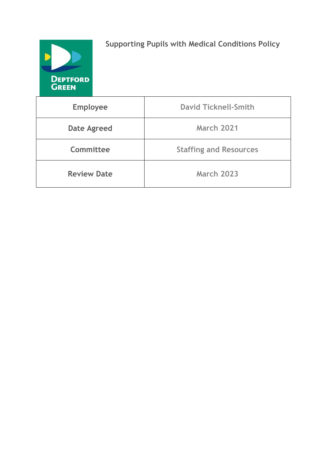

**Supporting Pupils with Medical Conditions Policy**

| <b>Employee</b>    | <b>David Ticknell-Smith</b>   |
|--------------------|-------------------------------|
| <b>Date Agreed</b> | <b>March 2021</b>             |
| Committee          | <b>Staffing and Resources</b> |
| <b>Review Date</b> | <b>March 2023</b>             |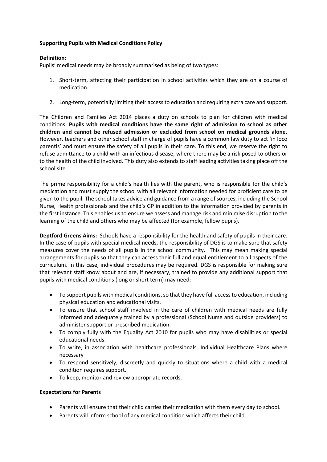## **Supporting Pupils with Medical Conditions Policy**

## **Definition:**

Pupils' medical needs may be broadly summarised as being of two types:

- 1. Short-term, affecting their participation in school activities which they are on a course of medication.
- 2. Long-term, potentially limiting their access to education and requiring extra care and support.

The Children and Families Act 2014 places a duty on schools to plan for children with medical conditions. **Pupils with medical conditions have the same right of admission to school as other children and cannot be refused admission or excluded from school on medical grounds alone.**  However, teachers and other school staff in charge of pupils have a common law duty to act 'in loco parentis' and must ensure the safety of all pupils in their care. To this end, we reserve the right to refuse admittance to a child with an infectious disease, where there may be a risk posed to others or to the health of the child involved. This duty also extends to staff leading activities taking place off the school site.

The prime responsibility for a child's health lies with the parent, who is responsible for the child's medication and must supply the school with all relevant information needed for proficient care to be given to the pupil. The school takes advice and guidance from a range of sources, including the School Nurse, Health professionals and the child's GP in addition to the information provided by parents in the first instance. This enables us to ensure we assess and manage risk and minimise disruption to the learning of the child and others who may be affected (for example, fellow pupils).

**Deptford Greens Aims:** Schools have a responsibility for the health and safety of pupils in their care. In the case of pupils with special medical needs, the responsibility of DGS is to make sure that safety measures cover the needs of all pupils in the school community. This may mean making special arrangements for pupils so that they can access their full and equal entitlement to all aspects of the curriculum. In this case, individual procedures may be required. DGS is responsible for making sure that relevant staff know about and are, if necessary, trained to provide any additional support that pupils with medical conditions (long or short term) may need:

- To support pupils with medical conditions, so that they have full access to education, including physical education and educational visits.
- To ensure that school staff involved in the care of children with medical needs are fully informed and adequately trained by a professional (School Nurse and outside providers) to administer support or prescribed medication.
- To comply fully with the Equality Act 2010 for pupils who may have disabilities or special educational needs.
- To write, in association with healthcare professionals, Individual Healthcare Plans where necessary
- To respond sensitively, discreetly and quickly to situations where a child with a medical condition requires support.
- To keep, monitor and review appropriate records.

#### **Expectations for Parents**

- Parents will ensure that their child carries their medication with them every day to school.
- Parents will inform school of any medical condition which affects their child.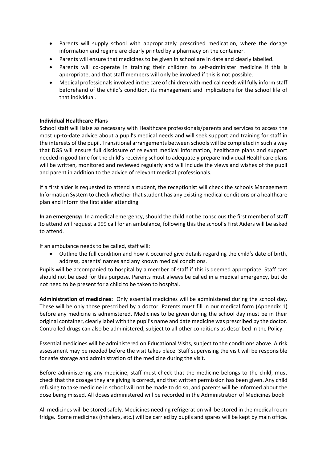- Parents will supply school with appropriately prescribed medication, where the dosage information and regime are clearly printed by a pharmacy on the container.
- Parents will ensure that medicines to be given in school are in date and clearly labelled.
- Parents will co-operate in training their children to self-administer medicine if this is appropriate, and that staff members will only be involved if this is not possible.
- Medical professionals involved in the care of children with medical needs will fully inform staff beforehand of the child's condition, its management and implications for the school life of that individual.

## **Individual Healthcare Plans**

School staff will liaise as necessary with Healthcare professionals/parents and services to access the most up-to-date advice about a pupil's medical needs and will seek support and training for staff in the interests of the pupil. Transitional arrangements between schools will be completed in such a way that DGS will ensure full disclosure of relevant medical information, healthcare plans and support needed in good time for the child's receiving school to adequately prepare Individual Healthcare plans will be written, monitored and reviewed regularly and will include the views and wishes of the pupil and parent in addition to the advice of relevant medical professionals.

If a first aider is requested to attend a student, the receptionist will check the schools Management Information System to check whether that student has any existing medical conditions or a healthcare plan and inform the first aider attending.

**In an emergency:** In a medical emergency, should the child not be conscious the first member of staff to attend will request a 999 call for an ambulance, following this the school's First Aiders will be asked to attend.

If an ambulance needs to be called, staff will:

• Outline the full condition and how it occurred give details regarding the child's date of birth, address, parents' names and any known medical conditions.

Pupils will be accompanied to hospital by a member of staff if this is deemed appropriate. Staff cars should not be used for this purpose. Parents must always be called in a medical emergency, but do not need to be present for a child to be taken to hospital.

**Administration of medicines:** Only essential medicines will be administered during the school day. These will be only those prescribed by a doctor. Parents must fill in our medical form (Appendix 1) before any medicine is administered. Medicines to be given during the school day must be in their original container, clearly label with the pupil's name and date medicine was prescribed by the doctor. Controlled drugs can also be administered, subject to all other conditions as described in the Policy.

Essential medicines will be administered on Educational Visits, subject to the conditions above. A risk assessment may be needed before the visit takes place. Staff supervising the visit will be responsible for safe storage and administration of the medicine during the visit.

Before administering any medicine, staff must check that the medicine belongs to the child, must check that the dosage they are giving is correct, and that written permission has been given. Any child refusing to take medicine in school will not be made to do so, and parents will be informed about the dose being missed. All doses administered will be recorded in the Administration of Medicines book

All medicines will be stored safely. Medicines needing refrigeration will be stored in the medical room fridge. Some medicines (inhalers, etc.) will be carried by pupils and spares will be kept by main office.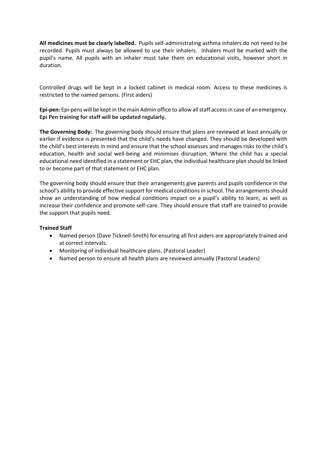**All medicines must be clearly labelled.** Pupils self-administrating asthma inhalers do not need to be recorded. Pupils must always be allowed to use their inhalers. Inhalers must be marked with the pupil's name. All pupils with an inhaler must take them on educational visits, however short in duration.

Controlled drugs will be kept in a locked cabinet in medical room. Access to these medicines is restricted to the named persons. (First aiders)

**Epi-pen:** Epi-pens will be kept in the main Admin office to allow all staff accessin case of an emergency. **Epi Pen training for staff will be updated regularly.**

**The Governing Body:** The governing body should ensure that plans are reviewed at least annually or earlier if evidence is presented that the child's needs have changed. They should be developed with the child's best interests in mind and ensure that the school assesses and manages risks to the child's education, health and social well-being and minimises disruption. Where the child has a special educational need identified in a statement or EHC plan, the individual healthcare plan should be linked to or become part of that statement or EHC plan.

The governing body should ensure that their arrangements give parents and pupils confidence in the school's ability to provide effective support for medical conditions in school. The arrangements should show an understanding of how medical conditions impact on a pupil's ability to learn, as well as increase their confidence and promote self-care. They should ensure that staff are trained to provide the support that pupils need.

#### **Trained Staff**

- Named person (Dave Ticknell-Smith) for ensuring all first aiders are appropriately trained and at correct intervals.
- Monitoring of individual healthcare plans. (Pastoral Leader)
- Named person to ensure all health plans are reviewed annually (Pastoral Leaders)